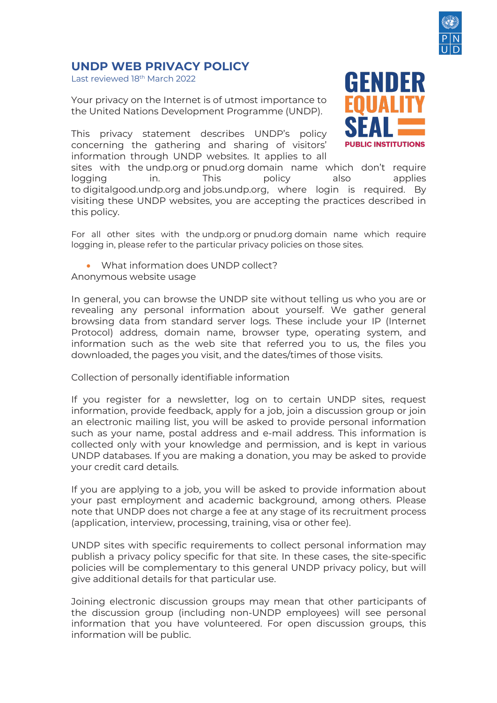

## **UNDP WEB PRIVACY POLICY**

Last reviewed 18<sup>th</sup> March 2022

Your privacy on the Internet is of utmost importance to the United Nations Development Programme (UNDP).

This privacy statement describes UNDP's policy concerning the gathering and sharing of visitors' information through UNDP websites. It applies to all



sites with the undp.org or pnud.org domain name which don't require logging in. This policy also applies to digitalgood.undp.org and jobs.undp.org, where login is required. By visiting these UNDP websites, you are accepting the practices described in this policy.

For all other sites with the undp.org or pnud.org domain name which require logging in, please refer to the particular privacy policies on those sites.

• What information does UNDP collect?

Anonymous website usage

In general, you can browse the UNDP site without telling us who you are or revealing any personal information about yourself. We gather general browsing data from standard server logs. These include your IP (Internet Protocol) address, domain name, browser type, operating system, and information such as the web site that referred you to us, the files you downloaded, the pages you visit, and the dates/times of those visits.

Collection of personally identifiable information

If you register for a newsletter, log on to certain UNDP sites, request information, provide feedback, apply for a job, join a discussion group or join an electronic mailing list, you will be asked to provide personal information such as your name, postal address and e-mail address. This information is collected only with your knowledge and permission, and is kept in various UNDP databases. If you are making a donation, you may be asked to provide your credit card details.

If you are applying to a job, you will be asked to provide information about your past employment and academic background, among others. Please note that UNDP does not charge a fee at any stage of its recruitment process (application, interview, processing, training, visa or other fee).

UNDP sites with specific requirements to collect personal information may publish a privacy policy specific for that site. In these cases, the site-specific policies will be complementary to this general UNDP privacy policy, but will give additional details for that particular use.

Joining electronic discussion groups may mean that other participants of the discussion group (including non-UNDP employees) will see personal information that you have volunteered. For open discussion groups, this information will be public.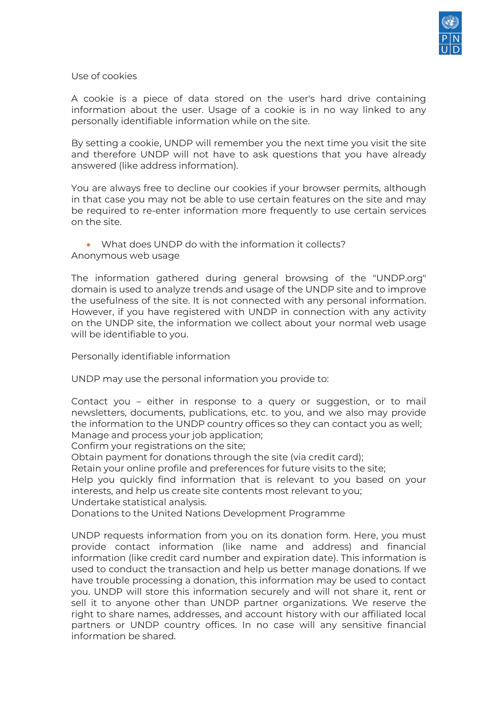

Use of cookies

A cookie is a piece of data stored on the user's hard drive containing information about the user. Usage of a cookie is in no way linked to any personally identifiable information while on the site.

By setting a cookie, UNDP will remember you the next time you visit the site and therefore UNDP will not have to ask questions that you have already answered (like address information).

You are always free to decline our cookies if your browser permits, although in that case you may not be able to use certain features on the site and may be required to re-enter information more frequently to use certain services on the site.

## • What does UNDP do with the information it collects? Anonymous web usage

The information gathered during general browsing of the "UNDP.org" domain is used to analyze trends and usage of the UNDP site and to improve the usefulness of the site. It is not connected with any personal information. However, if you have registered with UNDP in connection with any activity on the UNDP site, the information we collect about your normal web usage will be identifiable to you.

Personally identifiable information

UNDP may use the personal information you provide to:

Contact you – either in response to a query or suggestion, or to mail newsletters, documents, publications, etc. to you, and we also may provide the information to the UNDP country offices so they can contact you as well; Manage and process your job application;

Confirm your registrations on the site;

Obtain payment for donations through the site (via credit card);

Retain your online profile and preferences for future visits to the site;

Help you quickly find information that is relevant to you based on your interests, and help us create site contents most relevant to you;

Undertake statistical analysis.

Donations to the United Nations Development Programme

UNDP requests information from you on its donation form. Here, you must provide contact information (like name and address) and financial information (like credit card number and expiration date). This information is used to conduct the transaction and help us better manage donations. If we have trouble processing a donation, this information may be used to contact you. UNDP will store this information securely and will not share it, rent or sell it to anyone other than UNDP partner organizations. We reserve the right to share names, addresses, and account history with our affiliated local partners or UNDP country offices. In no case will any sensitive financial information be shared.